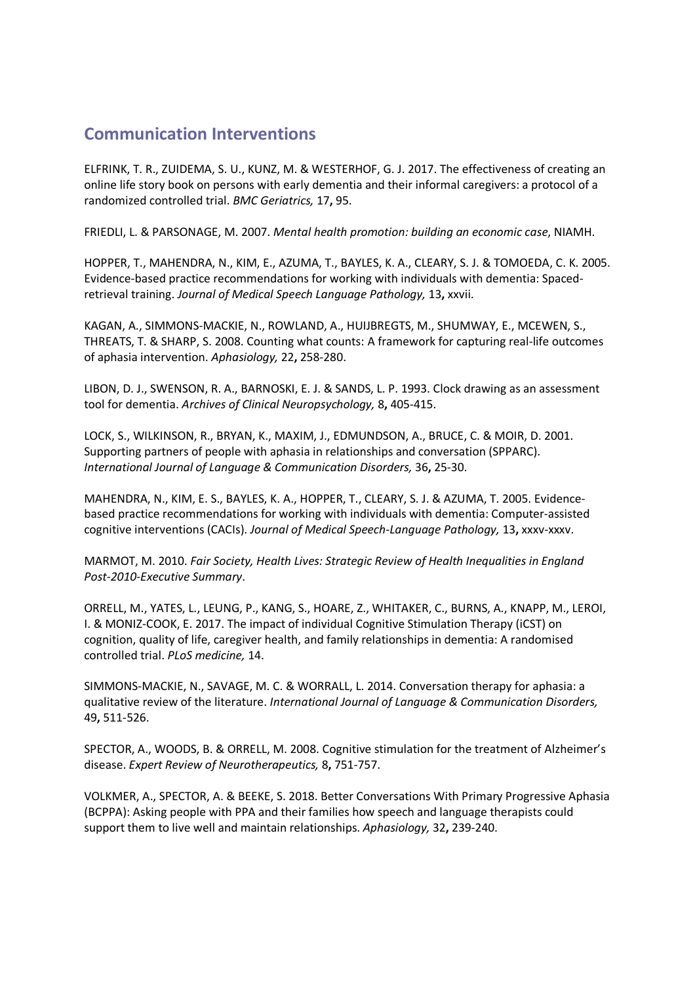## **Communication Interventions**

ELFRINK, T. R., ZUIDEMA, S. U., KUNZ, M. & WESTERHOF, G. J. 2017. The effectiveness of creating an online life story book on persons with early dementia and their informal caregivers: a protocol of a randomized controlled trial. *BMC Geriatrics,* 17**,** 95.

FRIEDLI, L. & PARSONAGE, M. 2007. *Mental health promotion: building an economic case*, NIAMH.

HOPPER, T., MAHENDRA, N., KIM, E., AZUMA, T., BAYLES, K. A., CLEARY, S. J. & TOMOEDA, C. K. 2005. Evidence-based practice recommendations for working with individuals with dementia: Spacedretrieval training. *Journal of Medical Speech Language Pathology,* 13**,** xxvii.

KAGAN, A., SIMMONS-MACKIE, N., ROWLAND, A., HUIJBREGTS, M., SHUMWAY, E., MCEWEN, S., THREATS, T. & SHARP, S. 2008. Counting what counts: A framework for capturing real-life outcomes of aphasia intervention. *Aphasiology,* 22**,** 258-280.

LIBON, D. J., SWENSON, R. A., BARNOSKI, E. J. & SANDS, L. P. 1993. Clock drawing as an assessment tool for dementia. *Archives of Clinical Neuropsychology,* 8**,** 405-415.

LOCK, S., WILKINSON, R., BRYAN, K., MAXIM, J., EDMUNDSON, A., BRUCE, C. & MOIR, D. 2001. Supporting partners of people with aphasia in relationships and conversation (SPPARC). *International Journal of Language & Communication Disorders,* 36**,** 25-30.

MAHENDRA, N., KIM, E. S., BAYLES, K. A., HOPPER, T., CLEARY, S. J. & AZUMA, T. 2005. Evidencebased practice recommendations for working with individuals with dementia: Computer-assisted cognitive interventions (CACIs). *Journal of Medical Speech-Language Pathology,* 13**,** xxxv-xxxv.

MARMOT, M. 2010. *Fair Society, Health Lives: Strategic Review of Health Inequalities in England Post-2010-Executive Summary*.

ORRELL, M., YATES, L., LEUNG, P., KANG, S., HOARE, Z., WHITAKER, C., BURNS, A., KNAPP, M., LEROI, I. & MONIZ-COOK, E. 2017. The impact of individual Cognitive Stimulation Therapy (iCST) on cognition, quality of life, caregiver health, and family relationships in dementia: A randomised controlled trial. *PLoS medicine,* 14.

SIMMONS-MACKIE, N., SAVAGE, M. C. & WORRALL, L. 2014. Conversation therapy for aphasia: a qualitative review of the literature. *International Journal of Language & Communication Disorders,* 49**,** 511-526.

SPECTOR, A., WOODS, B. & ORRELL, M. 2008. Cognitive stimulation for the treatment of Alzheimer's disease. *Expert Review of Neurotherapeutics,* 8**,** 751-757.

VOLKMER, A., SPECTOR, A. & BEEKE, S. 2018. Better Conversations With Primary Progressive Aphasia (BCPPA): Asking people with PPA and their families how speech and language therapists could support them to live well and maintain relationships. *Aphasiology,* 32**,** 239-240.